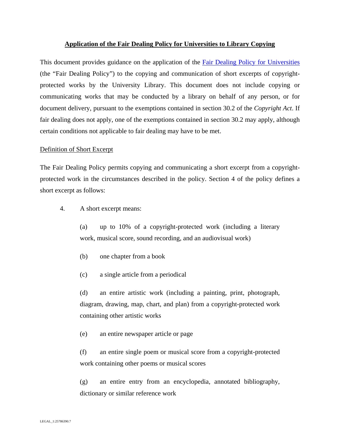## **Application of the Fair Dealing Policy for Universities to Library Copying**

This document provides guidance on the application of the Fair Dealing Policy for Universities (the "Fair Dealing Policy") to the copying and communication of short excerpts of copyrightprotected works by the University Library. This document does not include copying or communicating works that may be conducted by a library on behalf of any person, or for document delivery, pursuant to the exemptions contained in section 30.2 of the *Copyright Act*. If fair dealing does not apply, one of the exemptions contained in section 30.2 may apply, although certain conditions not applicable to fair dealing may have to be met.

### Definition of Short Excerpt

The Fair Dealing Policy permits copying and communicating a short excerpt from a copyrightprotected work in the circumstances described in the policy. Section 4 of the policy defines a short excerpt as follows:

4. A short excerpt means:

(a) up to 10% of a copyright-protected work (including a literary work, musical score, sound recording, and an audiovisual work)

- (b) one chapter from a book
- (c) a single article from a periodical

(d) an entire artistic work (including a painting, print, photograph, diagram, drawing, map, chart, and plan) from a copyright-protected work containing other artistic works

(e) an entire newspaper article or page

(f) an entire single poem or musical score from a copyright-protected work containing other poems or musical scores

(g) an entire entry from an encyclopedia, annotated bibliography, dictionary or similar reference work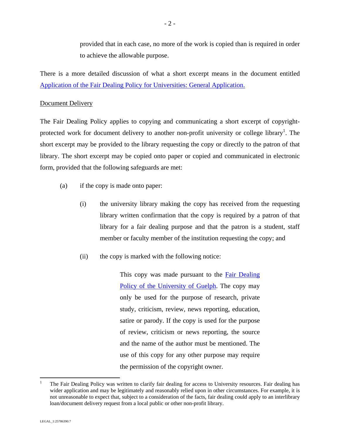provided that in each case, no more of the work is copied than is required in order to achieve the allowable purpose.

There is a more detailed discussion of what a short excerpt means in the document entitled Application of the Fair Dealing Policy for Universities: General Application.

## Document Delivery

The Fair Dealing Policy applies to copying and communicating a short excerpt of copyrightprotected work for document delivery to another non-profit university or college library<sup>1</sup>. The short excerpt may be provided to the library requesting the copy or directly to the patron of that library. The short excerpt may be copied onto paper or copied and communicated in electronic form, provided that the following safeguards are met:

- (a) if the copy is made onto paper:
	- (i) the university library making the copy has received from the requesting library written confirmation that the copy is required by a patron of that library for a fair dealing purpose and that the patron is a student, staff member or faculty member of the institution requesting the copy; and
	- (ii) the copy is marked with the following notice:

This copy was made pursuant to the Fair Dealing Policy of the University of Guelph. The copy may only be used for the purpose of research, private study, criticism, review, news reporting, education, satire or parody. If the copy is used for the purpose of review, criticism or news reporting, the source and the name of the author must be mentioned. The use of this copy for any other purpose may require the permission of the copyright owner.

 $\overline{a}$ 

<sup>1</sup> The Fair Dealing Policy was written to clarify fair dealing for access to University resources. Fair dealing has wider application and may be legitimately and reasonably relied upon in other circumstances. For example, it is not unreasonable to expect that, subject to a consideration of the facts, fair dealing could apply to an interlibrary loan/document delivery request from a local public or other non-profit library.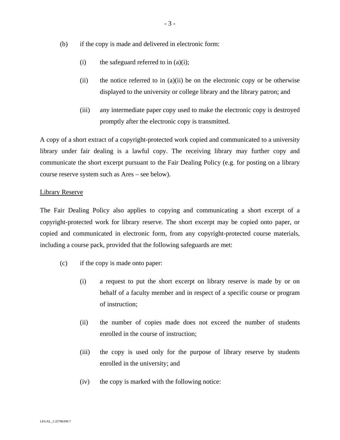- (b) if the copy is made and delivered in electronic form:
	- (i) the safeguard referred to in  $(a)(i)$ ;
	- (ii) the notice referred to in  $(a)(ii)$  be on the electronic copy or be otherwise displayed to the university or college library and the library patron; and
	- (iii) any intermediate paper copy used to make the electronic copy is destroyed promptly after the electronic copy is transmitted.

A copy of a short extract of a copyright-protected work copied and communicated to a university library under fair dealing is a lawful copy. The receiving library may further copy and communicate the short excerpt pursuant to the Fair Dealing Policy (e.g. for posting on a library course reserve system such as Ares – see below).

## Library Reserve

The Fair Dealing Policy also applies to copying and communicating a short excerpt of a copyright-protected work for library reserve. The short excerpt may be copied onto paper, or copied and communicated in electronic form, from any copyright-protected course materials, including a course pack, provided that the following safeguards are met:

- (c) if the copy is made onto paper:
	- (i) a request to put the short excerpt on library reserve is made by or on behalf of a faculty member and in respect of a specific course or program of instruction;
	- (ii) the number of copies made does not exceed the number of students enrolled in the course of instruction;
	- (iii) the copy is used only for the purpose of library reserve by students enrolled in the university; and
	- (iv) the copy is marked with the following notice: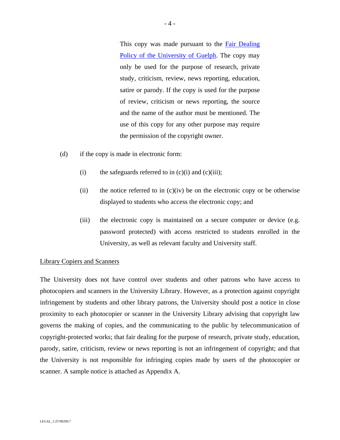This copy was made pursuant to the **Fair Dealing** Policy of the University of Guelph. The copy may only be used for the purpose of research, private study, criticism, review, news reporting, education, satire or parody. If the copy is used for the purpose of review, criticism or news reporting, the source and the name of the author must be mentioned. The use of this copy for any other purpose may require the permission of the copyright owner.

- (d) if the copy is made in electronic form:
	- (i) the safeguards referred to in  $(c)(i)$  and  $(c)(iii)$ ;
	- (ii) the notice referred to in  $(c)(iv)$  be on the electronic copy or be otherwise displayed to students who access the electronic copy; and
	- (iii) the electronic copy is maintained on a secure computer or device (e.g. password protected) with access restricted to students enrolled in the University, as well as relevant faculty and University staff.

#### Library Copiers and Scanners

The University does not have control over students and other patrons who have access to photocopiers and scanners in the University Library. However, as a protection against copyright infringement by students and other library patrons, the University should post a notice in close proximity to each photocopier or scanner in the University Library advising that copyright law governs the making of copies, and the communicating to the public by telecommunication of copyright-protected works; that fair dealing for the purpose of research, private study, education, parody, satire, criticism, review or news reporting is not an infringement of copyright; and that the University is not responsible for infringing copies made by users of the photocopier or scanner. A sample notice is attached as Appendix A.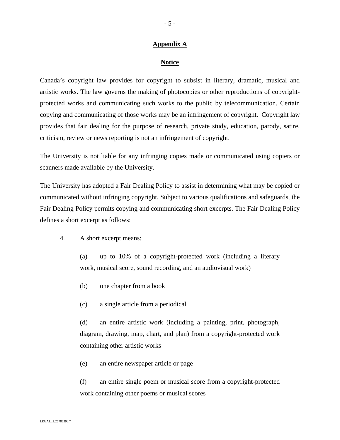## **Appendix A**

### **Notice**

Canada's copyright law provides for copyright to subsist in literary, dramatic, musical and artistic works. The law governs the making of photocopies or other reproductions of copyrightprotected works and communicating such works to the public by telecommunication. Certain copying and communicating of those works may be an infringement of copyright. Copyright law provides that fair dealing for the purpose of research, private study, education, parody, satire, criticism, review or news reporting is not an infringement of copyright.

The University is not liable for any infringing copies made or communicated using copiers or scanners made available by the University.

The University has adopted a Fair Dealing Policy to assist in determining what may be copied or communicated without infringing copyright. Subject to various qualifications and safeguards, the Fair Dealing Policy permits copying and communicating short excerpts. The Fair Dealing Policy defines a short excerpt as follows:

# 4. A short excerpt means:

(a) up to 10% of a copyright-protected work (including a literary work, musical score, sound recording, and an audiovisual work)

- (b) one chapter from a book
- (c) a single article from a periodical

(d) an entire artistic work (including a painting, print, photograph, diagram, drawing, map, chart, and plan) from a copyright-protected work containing other artistic works

(e) an entire newspaper article or page

(f) an entire single poem or musical score from a copyright-protected work containing other poems or musical scores